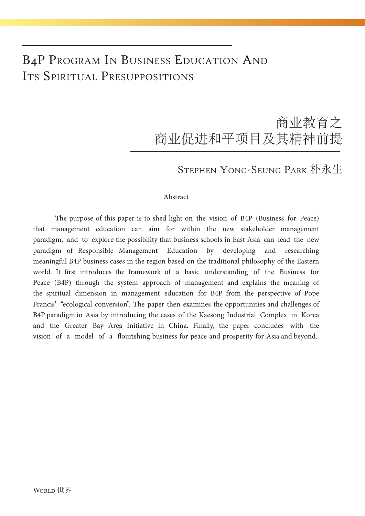### B4P Program In Business Education And Its Spiritual Presuppositions

## 商业教育之 商业促进和平项目及其精神前提

### Stephen Yong-Seung Park 朴永生

#### Abstract

The purpose of this paper is to shed light on the vision of B4P (Business for Peace) that management education can aim for within the new stakeholder management paradigm, and to explore the possibility that business schools in East Asia can lead the new paradigm of Responsible Management Education by developing and researching meaningful B4P business cases in the region based on the traditional philosophy of the Eastern world. It first introduces the framework of a basic understanding of the Business for Peace (B4P) through the system approach of management and explains the meaning of the spiritual dimension in management education for B4P from the perspective of Pope Francis' "ecological conversion". The paper then examines the opportunities and challenges of B4P paradigm in Asia by introducing the cases of the Kaesong Industrial Complex in Korea and the Greater Bay Area Initiative in China. Finally, the paper concludes with the vision of a model of a flourishing business for peace and prosperity for Asia and beyond.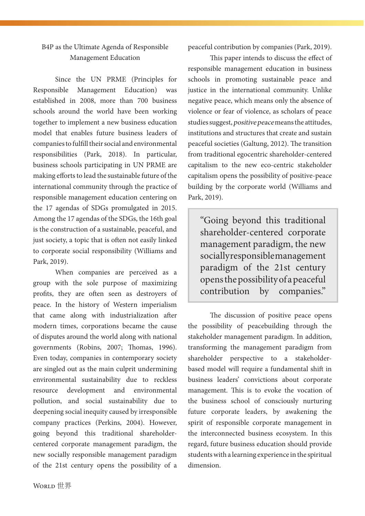#### B4P as the Ultimate Agenda of Responsible Management Education

Since the UN PRME (Principles for Responsible Management Education) was established in 2008, more than 700 business schools around the world have been working together to implement a new business education model that enables future business leaders of companies to fulfill their social and environmental responsibilities (Park, 2018). In particular, business schools participating in UN PRME are making efforts to lead the sustainable future of the international community through the practice of responsible management education centering on the 17 agendas of SDGs promulgated in 2015. Among the 17 agendas of the SDGs, the 16th goal is the construction of a sustainable, peaceful, and just society, a topic that is often not easily linked to corporate social responsibility (Williams and Park, 2019).

When companies are perceived as a group with the sole purpose of maximizing profits, they are often seen as destroyers of peace. In the history of Western imperialism that came along with industrialization after modern times, corporations became the cause of disputes around the world along with national governments (Robins, 2007; Thomas, 1996). Even today, companies in contemporary society are singled out as the main culprit undermining environmental sustainability due to reckless resource development and environmental pollution, and social sustainability due to deepening social inequity caused by irresponsible company practices (Perkins, 2004). However, going beyond this traditional shareholdercentered corporate management paradigm, the new socially responsible management paradigm of the 21st century opens the possibility of a

peaceful contribution by companies (Park, 2019).

This paper intends to discuss the effect of responsible management education in business schools in promoting sustainable peace and justice in the international community. Unlike negative peace, which means only the absence of violence or fear of violence, as scholars of peace studies suggest, positive peace means the attitudes, institutions and structures that create and sustain peaceful societies (Galtung, 2012). The transition from traditional egocentric shareholder-centered capitalism to the new eco-centric stakeholder capitalism opens the possibility of positive-peace building by the corporate world (Williams and Park, 2019).

"Going beyond this traditional shareholder-centered corporate management paradigm, the new socially responsible management paradigm of the 21st century opens the possibility of a peaceful contribution by companies."

The discussion of positive peace opens the possibility of peacebuilding through the stakeholder management paradigm. In addition, transforming the management paradigm from shareholder perspective to a stakeholderbased model will require a fundamental shift in business leaders' convictions about corporate management. This is to evoke the vocation of the business school of consciously nurturing future corporate leaders, by awakening the spirit of responsible corporate management in the interconnected business ecosystem. In this regard, future business education should provide students with a learning experience in the spiritual dimension.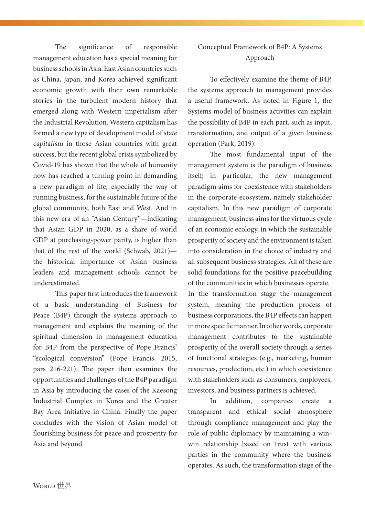The significance of responsible management education has a special meaning for business schools in Asia. East Asian countries such as China, Japan, and Korea achieved significant economic growth with their own remarkable stories in the turbulent modern history that emerged along with Western imperialism after the Industrial Revolution. Western capitalism has formed a new type of development model of state capitalism in those Asian countries with great success, but the recent global crisis symbolized by Covid-19 has shown that the whole of humanity now has reached a turning point in demanding a new paradigm of life, especially the way of running business, for the sustainable future of the global community, both East and West. And in this new era of an "Asian Century"—indicating that Asian GDP in 2020, as a share of world GDP at purchasing-power parity, is higher than that of the rest of the world (Schwab, 2021) the historical importance of Asian business leaders and management schools cannot be underestimated.

This paper first introduces the framework of a basic understanding of Business for Peace (B4P) through the systems approach to management and explains the meaning of the spiritual dimension in management education for B4P from the perspective of Pope Francis' "ecological conversion" (Pope Francis, 2015, pars 216-221). The paper then examines the opportunities and challenges of the B4P paradigm in Asia by introducing the cases of the Kaesong Industrial Complex in Korea and the Greater Bay Area Initiative in China. Finally the paper concludes with the vision of Asian model of flourishing business for peace and prosperity for Asia and beyond.

#### Conceptual Framework of B4P: A Systems Approach

To effectively examine the theme of B4P, the systems approach to management provides a useful framework. As noted in Figure 1, the Systems model of business activities can explain the possibility of B4P in each part, such as input, transformation, and output of a given business operation (Park, 2019).

The most fundamental input of the management system is the paradigm of business itself; in particular, the new management paradigm aims for coexistence with stakeholders in the corporate ecosystem, namely stakeholder capitalism. In this new paradigm of corporate management, business aims for the virtuous cycle of an economic ecology, in which the sustainable prosperity of society and the environment is taken into consideration in the choice of industry and all subsequent business strategies. All of these are solid foundations for the positive peacebuilding of the communities in which businesses operate.

In the transformation stage the management system, meaning the production process of business corporations, the B4P effects can happen in more specific manner. In other words, corporate management contributes to the sustainable prosperity of the overall society through a series of functional strategies (e.g., marketing, human resources, production, etc.) in which coexistence with stakeholders such as consumers, employees, investors, and business partners is achieved.

In addition, companies create a transparent and ethical social atmosphere through compliance management and play the role of public diplomacy by maintaining a winwin relationship based on trust with various parties in the community where the business operates. As such, the transformation stage of the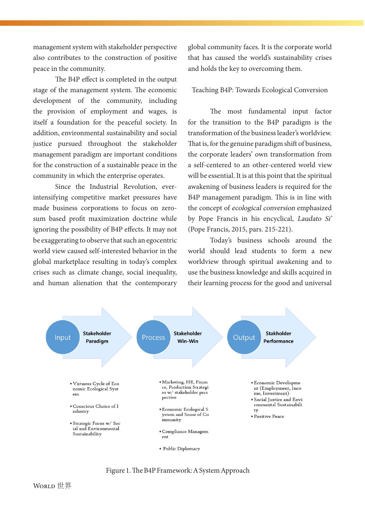management system with stakeholder perspective also contributes to the construction of positive peace in the community.

The B4P effect is completed in the output stage of the management system. The economic development of the community, including the provision of employment and wages, is itself a foundation for the peaceful society. In addition, environmental sustainability and social justice pursued throughout the stakeholder management paradigm are important conditions for the construction of a sustainable peace in the community in which the enterprise operates.

Since the Industrial Revolution, everintensifying competitive market pressures have made business corporations to focus on zerosum based profit maximization doctrine while ignoring the possibility of B4P effects. It may not be exaggerating to observe that such an egocentric world view caused self-interested behavior in the global marketplace resulting in today's complex crises such as climate change, social inequality, and human alienation that the contemporary global community faces. It is the corporate world that has caused the world's sustainability crises and holds the key to overcoming them.

Teaching B4P: Towards Ecological Conversion

The most fundamental input factor for the transition to the B4P paradigm is the transformation of the business leader's worldview. That is, for the genuine paradigm shift of business, the corporate leaders' own transformation from a self-centered to an other-centered world view will be essential. It is at this point that the spiritual awakening of business leaders is required for the B4P management paradigm. This is in line with the concept of ecological conversion emphasized by Pope Francis in his encyclical, Laudato Si' (Pope Francis, 2015, pars. 215-221).

Today's business schools around the world should lead students to form a new worldview through spiritual awakening and to use the business knowledge and skills acquired in their learning process for the good and universal



Figure 1. The B4P Framework: A System Approach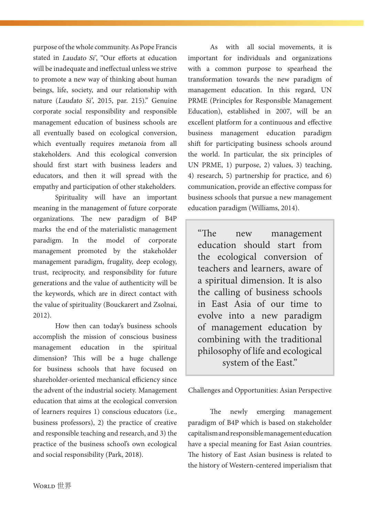purpose of the whole community. As Pope Francis stated in Laudato Si', "Our efforts at education will be inadequate and ineffectual unless we strive to promote a new way of thinking about human beings, life, society, and our relationship with nature (Laudato Si', 2015, par. 215)." Genuine corporate social responsibility and responsible management education of business schools are all eventually based on ecological conversion, which eventually requires metanoia from all stakeholders. And this ecological conversion should first start with business leaders and educators, and then it will spread with the empathy and participation of other stakeholders.

Spirituality will have an important meaning in the management of future corporate organizations. The new paradigm of B4P marks the end of the materialistic management paradigm. In the model of corporate management promoted by the stakeholder management paradigm, frugality, deep ecology, trust, reciprocity, and responsibility for future generations and the value of authenticity will be the keywords, which are in direct contact with the value of spirituality (Bouckarert and Zsolnai, 2012).

How then can today's business schools accomplish the mission of conscious business management education in the spiritual dimension? This will be a huge challenge for business schools that have focused on shareholder-oriented mechanical efficiency since the advent of the industrial society. Management education that aims at the ecological conversion of learners requires 1) conscious educators (i.e., business professors), 2) the practice of creative and responsible teaching and research, and 3) the practice of the business school's own ecological and social responsibility (Park, 2018).

As with all social movements, it is important for individuals and organizations with a common purpose to spearhead the transformation towards the new paradigm of management education. In this regard, UN PRME (Principles for Responsible Management Education), established in 2007, will be an excellent platform for a continuous and effective business management education paradigm shift for participating business schools around the world. In particular, the six principles of UN PRME, 1) purpose, 2) values, 3) teaching, 4) research, 5) partnership for practice, and 6) communication, provide an effective compass for business schools that pursue a new management education paradigm (Williams, 2014).

"The new management education should start from the ecological conversion of teachers and learners, aware of a spiritual dimension. It is also the calling of business schools in East Asia of our time to evolve into a new paradigm of management education by combining with the traditional philosophy of life and ecological system of the East."

Challenges and Opportunities: Asian Perspective

The newly emerging management paradigm of B4P which is based on stakeholder capitalism and responsible management education have a special meaning for East Asian countries. The history of East Asian business is related to the history of Western-centered imperialism that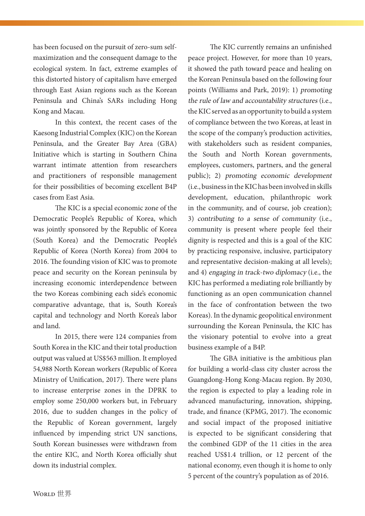has been focused on the pursuit of zero-sum selfmaximization and the consequent damage to the ecological system. In fact, extreme examples of this distorted history of capitalism have emerged through East Asian regions such as the Korean Peninsula and China's SARs including Hong Kong and Macau.

In this context, the recent cases of the Kaesong Industrial Complex (KIC) on the Korean Peninsula, and the Greater Bay Area (GBA) Initiative which is starting in Southern China warrant intimate attention from researchers and practitioners of responsible management for their possibilities of becoming excellent B4P cases from East Asia.

The KIC is a special economic zone of the Democratic People's Republic of Korea, which was jointly sponsored by the Republic of Korea (South Korea) and the Democratic People's Republic of Korea (North Korea) from 2004 to 2016. The founding vision of KIC was to promote peace and security on the Korean peninsula by increasing economic interdependence between the two Koreas combining each side's economic comparative advantage, that is, South Korea's capital and technology and North Korea's labor and land.

In 2015, there were 124 companies from South Korea in the KIC and their total production output was valued at US\$563 million. It employed 54,988 North Korean workers (Republic of Korea Ministry of Unification, 2017). There were plans to increase enterprise zones in the DPRK to employ some 250,000 workers but, in February 2016, due to sudden changes in the policy of the Republic of Korean government, largely influenced by impending strict UN sanctions, South Korean businesses were withdrawn from the entire KIC, and North Korea officially shut down its industrial complex.

peace project. However, for more than 10 years, it showed the path toward peace and healing on the Korean Peninsula based on the following four points (Williams and Park, 2019): 1) promoting the rule of law and accountability structures (i.e., the KIC served as an opportunity to build a system of compliance between the two Koreas, at least in the scope of the company's production activities, with stakeholders such as resident companies, the South and North Korean governments, employees, customers, partners, and the general public); 2) promoting economic development (i.e., business in the KIC has been involved in skills development, education, philanthropic work in the community, and of course, job creation); 3) contributing to a sense of community (i.e., community is present where people feel their dignity is respected and this is a goal of the KIC by practicing responsive, inclusive, participatory and representative decision-making at all levels); and 4) engaging in track-two diplomacy (i.e., the KIC has performed a mediating role brilliantly by functioning as an open communication channel in the face of confrontation between the two Koreas). In the dynamic geopolitical environment surrounding the Korean Peninsula, the KIC has the visionary potential to evolve into a great business example of a B4P.

The KIC currently remains an unfinished

The GBA initiative is the ambitious plan for building a world-class city cluster across the Guangdong-Hong Kong-Macau region. By 2030, the region is expected to play a leading role in advanced manufacturing, innovation, shipping, trade, and finance (KPMG, 2017). The economic and social impact of the proposed initiative is expected to be significant considering that the combined GDP of the 11 cities in the area reached US\$1.4 trillion, or 12 percent of the national economy, even though it is home to only 5 percent of the country's population as of 2016.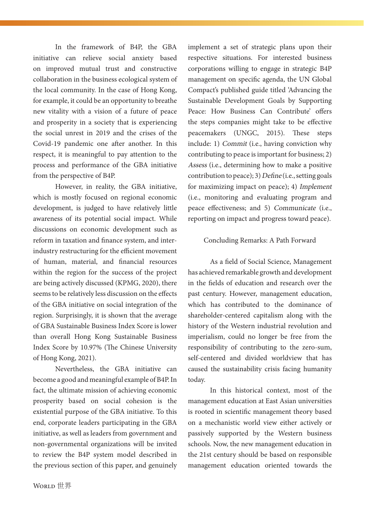In the framework of B4P, the GBA initiative can relieve social anxiety based on improved mutual trust and constructive collaboration in the business ecological system of the local community. In the case of Hong Kong, for example, it could be an opportunity to breathe new vitality with a vision of a future of peace and prosperity in a society that is experiencing the social unrest in 2019 and the crises of the Covid-19 pandemic one after another. In this respect, it is meaningful to pay attention to the process and performance of the GBA initiative from the perspective of B4P.

However, in reality, the GBA initiative, which is mostly focused on regional economic development, is judged to have relatively little awareness of its potential social impact. While discussions on economic development such as reform in taxation and finance system, and interindustry restructuring for the efficient movement of human, material, and financial resources within the region for the success of the project are being actively discussed (KPMG, 2020), there seems to be relatively less discussion on the effects of the GBA initiative on social integration of the region. Surprisingly, it is shown that the average of GBA Sustainable Business Index Score is lower than overall Hong Kong Sustainable Business Index Score by 10.97% (The Chinese University of Hong Kong, 2021).

Nevertheless, the GBA initiative can become a good and meaningful example of B4P. In fact, the ultimate mission of achieving economic prosperity based on social cohesion is the existential purpose of the GBA initiative. To this end, corporate leaders participating in the GBA initiative, as well as leaders from government and non-governmental organizations will be invited to review the B4P system model described in the previous section of this paper, and genuinely implement a set of strategic plans upon their respective situations. For interested business corporations willing to engage in strategic B4P management on specific agenda, the UN Global Compact's published guide titled 'Advancing the Sustainable Development Goals by Supporting Peace: How Business Can Contribute' offers the steps companies might take to be effective peacemakers (UNGC, 2015). These steps include: 1) Commit (i.e., having conviction why contributing to peace is important for business; 2) Assess (i.e., determining how to make a positive contribution to peace); 3) Define (i.e., setting goals for maximizing impact on peace); 4) Implement (i.e., monitoring and evaluating program and peace effectiveness; and 5) Communicate (i.e., reporting on impact and progress toward peace).

#### Concluding Remarks: A Path Forward

As a field of Social Science, Management has achieved remarkable growth and development in the fields of education and research over the past century. However, management education, which has contributed to the dominance of shareholder-centered capitalism along with the history of the Western industrial revolution and imperialism, could no longer be free from the responsibility of contributing to the zero-sum, self-centered and divided worldview that has caused the sustainability crisis facing humanity today.

In this historical context, most of the management education at East Asian universities is rooted in scientific management theory based on a mechanistic world view either actively or passively supported by the Western business schools. Now, the new management education in the 21st century should be based on responsible management education oriented towards the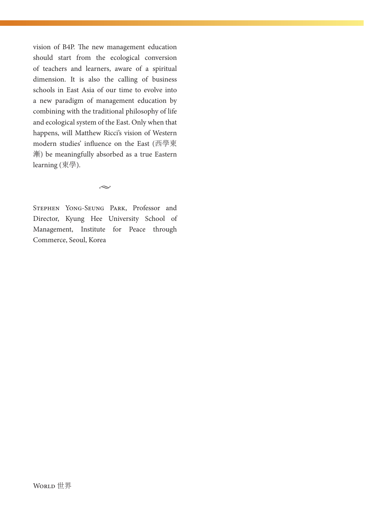vision of B4P. The new management education should start from the ecological conversion of teachers and learners, aware of a spiritual dimension. It is also the calling of business schools in East Asia of our time to evolve into a new paradigm of management education by combining with the traditional philosophy of life and ecological system of the East. Only when that happens, will Matthew Ricci's vision of Western modern studies' influence on the East (西學東 漸) be meaningfully absorbed as a true Eastern learning (東學).

 $\sim$ 

Stephen Yong-Seung Park, Professor and Director, Kyung Hee University School of Management, Institute for Peace through Commerce, Seoul, Korea